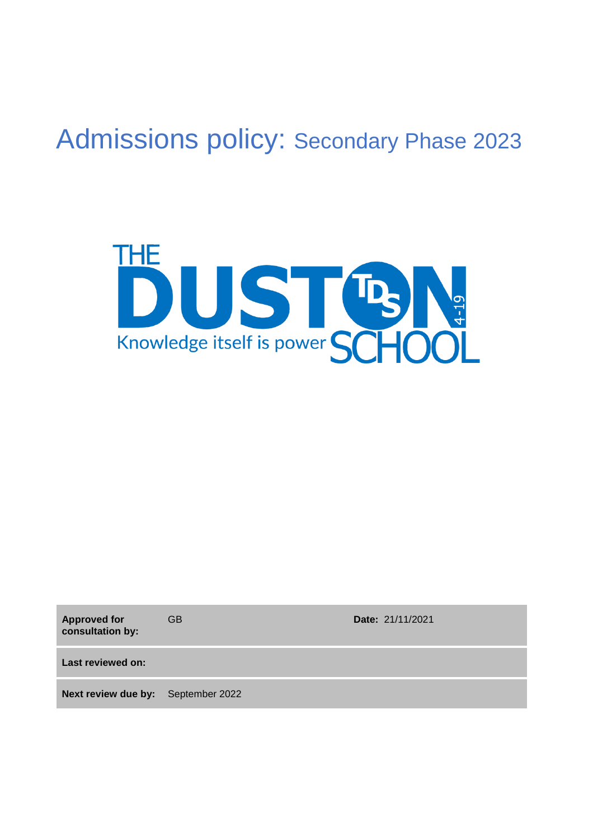# Admissions policy: Secondary Phase 2023



**Approved for consultation by:**

GB **Date:** 21/11/2021

**Last reviewed on:**

**Next review due by:** September 2022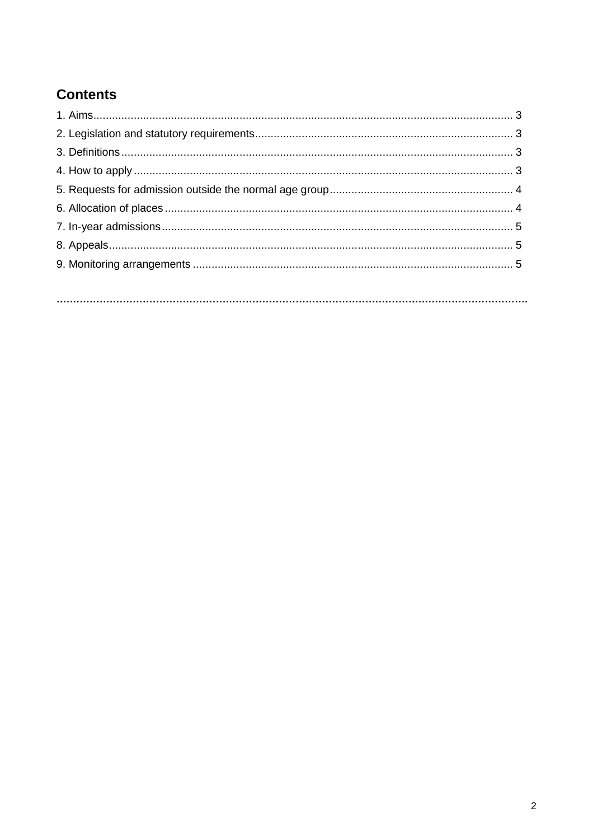# **Contents**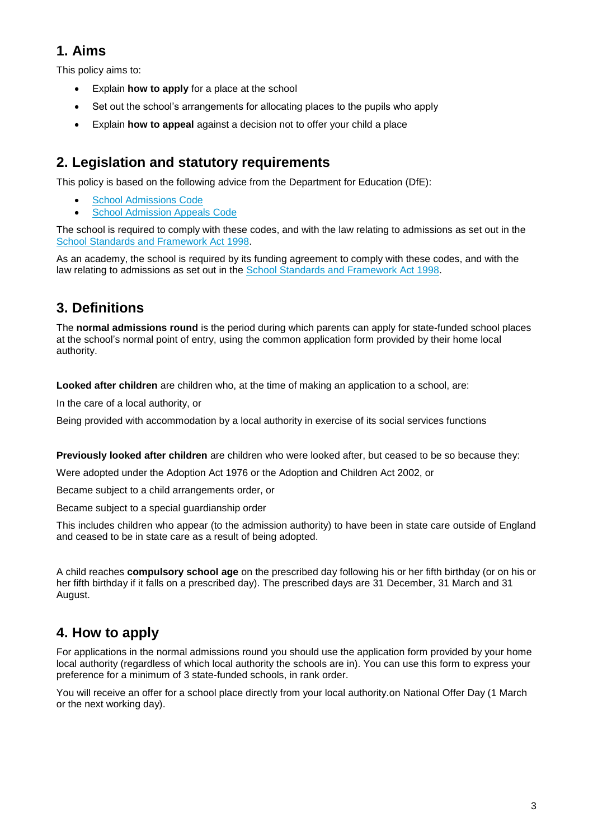# **1. Aims**

This policy aims to:

- Explain **how to apply** for a place at the school
- Set out the school's arrangements for allocating places to the pupils who apply
- Explain **how to appeal** against a decision not to offer your child a place

## **2. Legislation and statutory requirements**

This policy is based on the following advice from the Department for Education (DfE):

- [School Admissions Code](https://www.gov.uk/government/publications/school-admissions-code--2)
- **[School Admission Appeals Code](https://www.gov.uk/government/publications/school-admissions-appeals-code)**

The school is required to comply with these codes, and with the law relating to admissions as set out in the [School Standards and Framework Act 1998.](http://www.legislation.gov.uk/ukpga/1998/31/contents)

As an academy, the school is required by its funding agreement to comply with these codes, and with the law relating to admissions as set out in the [School Standards and Framework Act 1998.](http://www.legislation.gov.uk/ukpga/1998/31/contents)

# **3. Definitions**

The **normal admissions round** is the period during which parents can apply for state-funded school places at the school's normal point of entry, using the common application form provided by their home local authority.

**Looked after children** are children who, at the time of making an application to a school, are:

In the care of a local authority, or

Being provided with accommodation by a local authority in exercise of its social services functions

**Previously looked after children** are children who were looked after, but ceased to be so because they:

Were adopted under the Adoption Act 1976 or the Adoption and Children Act 2002, or

Became subject to a child arrangements order, or

Became subject to a special guardianship order

This includes children who appear (to the admission authority) to have been in state care outside of England and ceased to be in state care as a result of being adopted.

A child reaches **compulsory school age** on the prescribed day following his or her fifth birthday (or on his or her fifth birthday if it falls on a prescribed day). The prescribed days are 31 December, 31 March and 31 August.

# **4. How to apply**

For applications in the normal admissions round you should use the application form provided by your home local authority (regardless of which local authority the schools are in). You can use this form to express your preference for a minimum of 3 state-funded schools, in rank order.

You will receive an offer for a school place directly from your local authority.on National Offer Day (1 March or the next working day).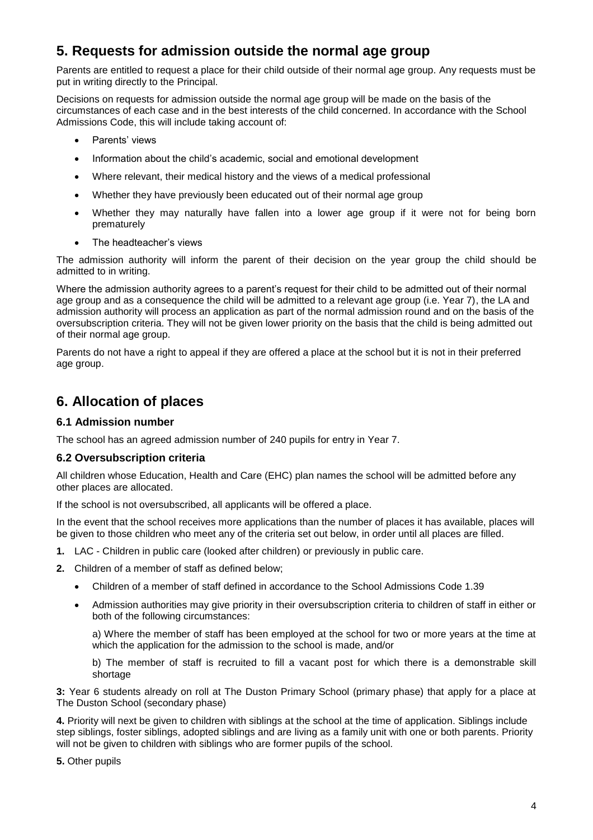## **5. Requests for admission outside the normal age group**

Parents are entitled to request a place for their child outside of their normal age group. Any requests must be put in writing directly to the Principal.

Decisions on requests for admission outside the normal age group will be made on the basis of the circumstances of each case and in the best interests of the child concerned. In accordance with the School Admissions Code, this will include taking account of:

- Parents' views
- Information about the child's academic, social and emotional development
- Where relevant, their medical history and the views of a medical professional
- Whether they have previously been educated out of their normal age group
- Whether they may naturally have fallen into a lower age group if it were not for being born prematurely
- The headteacher's views

The admission authority will inform the parent of their decision on the year group the child should be admitted to in writing.

Where the admission authority agrees to a parent's request for their child to be admitted out of their normal age group and as a consequence the child will be admitted to a relevant age group (i.e. Year 7), the LA and admission authority will process an application as part of the normal admission round and on the basis of the oversubscription criteria. They will not be given lower priority on the basis that the child is being admitted out of their normal age group.

Parents do not have a right to appeal if they are offered a place at the school but it is not in their preferred age group.

## **6. Allocation of places**

#### **6.1 Admission number**

The school has an agreed admission number of 240 pupils for entry in Year 7.

#### **6.2 Oversubscription criteria**

All children whose Education, Health and Care (EHC) plan names the school will be admitted before any other places are allocated.

If the school is not oversubscribed, all applicants will be offered a place.

In the event that the school receives more applications than the number of places it has available, places will be given to those children who meet any of the criteria set out below, in order until all places are filled.

- **1.** LAC Children in public care (looked after children) or previously in public care.
- **2.** Children of a member of staff as defined below;
	- Children of a member of staff defined in accordance to the School Admissions Code 1.39
	- Admission authorities may give priority in their oversubscription criteria to children of staff in either or both of the following circumstances:

a) Where the member of staff has been employed at the school for two or more years at the time at which the application for the admission to the school is made, and/or

b) The member of staff is recruited to fill a vacant post for which there is a demonstrable skill shortage

**3:** Year 6 students already on roll at The Duston Primary School (primary phase) that apply for a place at The Duston School (secondary phase)

**4.** Priority will next be given to children with siblings at the school at the time of application. Siblings include step siblings, foster siblings, adopted siblings and are living as a family unit with one or both parents. Priority will not be given to children with siblings who are former pupils of the school.

**5.** Other pupils